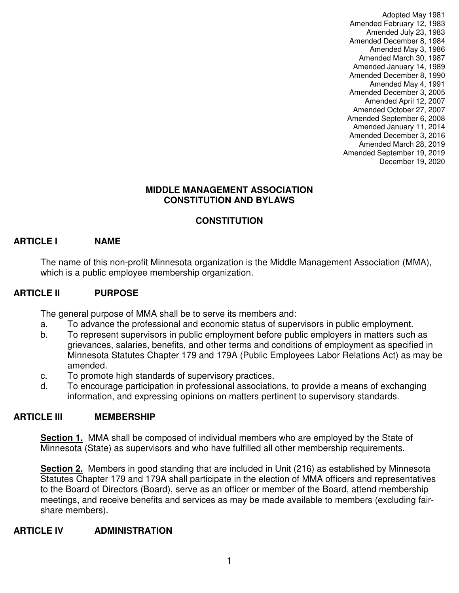Adopted May 1981 Amended February 12, 1983 Amended July 23, 1983 Amended December 8, 1984 Amended May 3, 1986 Amended March 30, 1987 Amended January 14, 1989 Amended December 8, 1990 Amended May 4, 1991 Amended December 3, 2005 Amended April 12, 2007 Amended October 27, 2007 Amended September 6, 2008 Amended January 11, 2014 Amended December 3, 2016 Amended March 28, 2019 Amended September 19, 2019 December 19, 2020

#### **MIDDLE MANAGEMENT ASSOCIATION CONSTITUTION AND BYLAWS**

# **CONSTITUTION**

#### **ARTICLE I NAME**

The name of this non-profit Minnesota organization is the Middle Management Association (MMA), which is a public employee membership organization.

#### **ARTICLE II PURPOSE**

The general purpose of MMA shall be to serve its members and:

- a. To advance the professional and economic status of supervisors in public employment.
- b. To represent supervisors in public employment before public employers in matters such as grievances, salaries, benefits, and other terms and conditions of employment as specified in Minnesota Statutes Chapter 179 and 179A (Public Employees Labor Relations Act) as may be amended.
- c. To promote high standards of supervisory practices.
- d. To encourage participation in professional associations, to provide a means of exchanging information, and expressing opinions on matters pertinent to supervisory standards.

#### **ARTICLE III MEMBERSHIP**

**Section 1.** MMA shall be composed of individual members who are employed by the State of Minnesota (State) as supervisors and who have fulfilled all other membership requirements.

**Section 2.** Members in good standing that are included in Unit (216) as established by Minnesota Statutes Chapter 179 and 179A shall participate in the election of MMA officers and representatives to the Board of Directors (Board), serve as an officer or member of the Board, attend membership meetings, and receive benefits and services as may be made available to members (excluding fairshare members).

#### **ARTICLE IV ADMINISTRATION**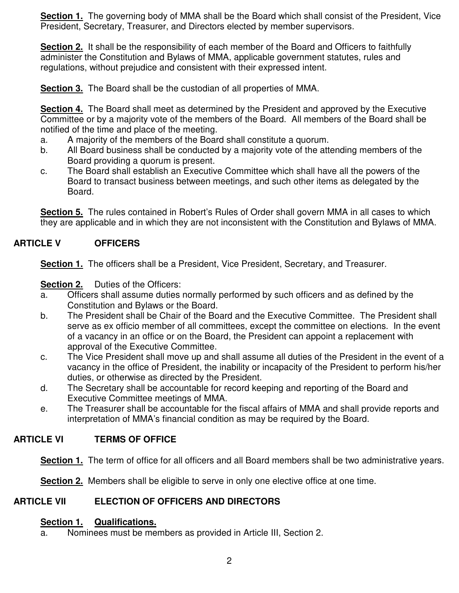**Section 1.** The governing body of MMA shall be the Board which shall consist of the President, Vice President, Secretary, Treasurer, and Directors elected by member supervisors.

**Section 2.** It shall be the responsibility of each member of the Board and Officers to faithfully administer the Constitution and Bylaws of MMA, applicable government statutes, rules and regulations, without prejudice and consistent with their expressed intent.

**Section 3.** The Board shall be the custodian of all properties of MMA.

**Section 4.** The Board shall meet as determined by the President and approved by the Executive Committee or by a majority vote of the members of the Board. All members of the Board shall be notified of the time and place of the meeting.

- a. A majority of the members of the Board shall constitute a quorum.
- b. All Board business shall be conducted by a majority vote of the attending members of the Board providing a quorum is present.
- c. The Board shall establish an Executive Committee which shall have all the powers of the Board to transact business between meetings, and such other items as delegated by the Board.

**Section 5.** The rules contained in Robert's Rules of Order shall govern MMA in all cases to which they are applicable and in which they are not inconsistent with the Constitution and Bylaws of MMA.

# **ARTICLE V OFFICERS**

**Section 1.** The officers shall be a President, Vice President, Secretary, and Treasurer.

**Section 2.** Duties of the Officers:

- a. Officers shall assume duties normally performed by such officers and as defined by the Constitution and Bylaws or the Board.
- b. The President shall be Chair of the Board and the Executive Committee. The President shall serve as ex officio member of all committees, except the committee on elections. In the event of a vacancy in an office or on the Board, the President can appoint a replacement with approval of the Executive Committee.
- c. The Vice President shall move up and shall assume all duties of the President in the event of a vacancy in the office of President, the inability or incapacity of the President to perform his/her duties, or otherwise as directed by the President.
- d. The Secretary shall be accountable for record keeping and reporting of the Board and Executive Committee meetings of MMA.
- e. The Treasurer shall be accountable for the fiscal affairs of MMA and shall provide reports and interpretation of MMA's financial condition as may be required by the Board.

# **ARTICLE VI TERMS OF OFFICE**

**Section 1.** The term of office for all officers and all Board members shall be two administrative years.

**Section 2.** Members shall be eligible to serve in only one elective office at one time.

# **ARTICLE VII ELECTION OF OFFICERS AND DIRECTORS**

# **Section 1. Qualifications.**

a. Nominees must be members as provided in Article III, Section 2.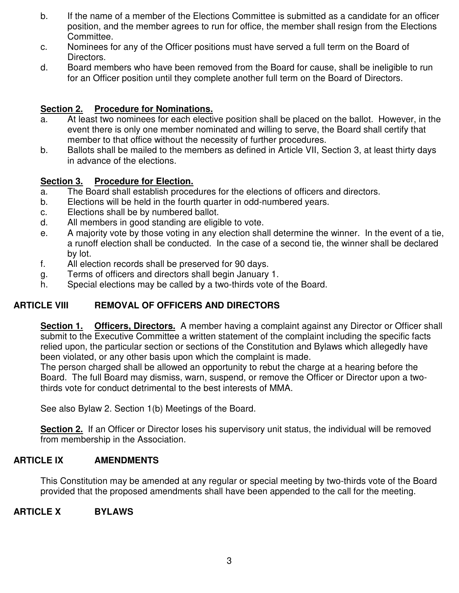- b. If the name of a member of the Elections Committee is submitted as a candidate for an officer position, and the member agrees to run for office, the member shall resign from the Elections Committee.
- c. Nominees for any of the Officer positions must have served a full term on the Board of Directors.
- d. Board members who have been removed from the Board for cause, shall be ineligible to run for an Officer position until they complete another full term on the Board of Directors.

### **Section 2. Procedure for Nominations.**

- a. At least two nominees for each elective position shall be placed on the ballot. However, in the event there is only one member nominated and willing to serve, the Board shall certify that member to that office without the necessity of further procedures.
- b. Ballots shall be mailed to the members as defined in Article VII, Section 3, at least thirty days in advance of the elections.

#### **Section 3. Procedure for Election.**

- a. The Board shall establish procedures for the elections of officers and directors.
- b. Elections will be held in the fourth quarter in odd-numbered years.
- c. Elections shall be by numbered ballot.
- d. All members in good standing are eligible to vote.
- e. A majority vote by those voting in any election shall determine the winner. In the event of a tie, a runoff election shall be conducted. In the case of a second tie, the winner shall be declared by lot.
- f. All election records shall be preserved for 90 days.
- g. Terms of officers and directors shall begin January 1.
- h. Special elections may be called by a two-thirds vote of the Board.

# **ARTICLE VIII REMOVAL OF OFFICERS AND DIRECTORS**

**Section 1. Officers, Directors.** A member having a complaint against any Director or Officer shall submit to the Executive Committee a written statement of the complaint including the specific facts relied upon, the particular section or sections of the Constitution and Bylaws which allegedly have been violated, or any other basis upon which the complaint is made.

The person charged shall be allowed an opportunity to rebut the charge at a hearing before the Board. The full Board may dismiss, warn, suspend, or remove the Officer or Director upon a twothirds vote for conduct detrimental to the best interests of MMA.

See also Bylaw 2. Section 1(b) Meetings of the Board.

**Section 2.** If an Officer or Director loses his supervisory unit status, the individual will be removed from membership in the Association.

#### **ARTICLE IX AMENDMENTS**

This Constitution may be amended at any regular or special meeting by two-thirds vote of the Board provided that the proposed amendments shall have been appended to the call for the meeting.

#### **ARTICLE X BYLAWS**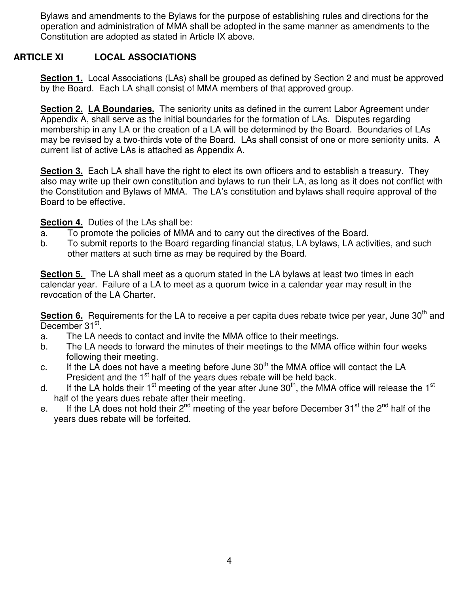Bylaws and amendments to the Bylaws for the purpose of establishing rules and directions for the operation and administration of MMA shall be adopted in the same manner as amendments to the Constitution are adopted as stated in Article IX above.

## **ARTICLE XI LOCAL ASSOCIATIONS**

**Section 1.** Local Associations (LAs) shall be grouped as defined by Section 2 and must be approved by the Board. Each LA shall consist of MMA members of that approved group.

**Section 2. LA Boundaries.** The seniority units as defined in the current Labor Agreement under Appendix A, shall serve as the initial boundaries for the formation of LAs. Disputes regarding membership in any LA or the creation of a LA will be determined by the Board. Boundaries of LAs may be revised by a two-thirds vote of the Board. LAs shall consist of one or more seniority units. A current list of active LAs is attached as Appendix A.

**Section 3.** Each LA shall have the right to elect its own officers and to establish a treasury. They also may write up their own constitution and bylaws to run their LA, as long as it does not conflict with the Constitution and Bylaws of MMA. The LA's constitution and bylaws shall require approval of the Board to be effective.

#### **Section 4.** Duties of the LAs shall be:

- a. To promote the policies of MMA and to carry out the directives of the Board.
- b. To submit reports to the Board regarding financial status, LA bylaws, LA activities, and such other matters at such time as may be required by the Board.

**Section 5.** The LA shall meet as a quorum stated in the LA bylaws at least two times in each calendar year. Failure of a LA to meet as a quorum twice in a calendar year may result in the revocation of the LA Charter.

**Section 6.** Requirements for the LA to receive a per capita dues rebate twice per year, June 30<sup>th</sup> and December 31<sup>st</sup>.

- a. The LA needs to contact and invite the MMA office to their meetings.
- b. The LA needs to forward the minutes of their meetings to the MMA office within four weeks following their meeting.
- c. If the LA does not have a meeting before June  $30<sup>th</sup>$  the MMA office will contact the LA President and the 1<sup>st</sup> half of the years dues rebate will be held back.
- d. If the LA holds their 1<sup>st</sup> meeting of the year after June 30<sup>th</sup>, the MMA office will release the 1<sup>st</sup> half of the years dues rebate after their meeting.
- e. If the LA does not hold their  $2^{nd}$  meeting of the year before December 31<sup>st</sup> the  $2^{nd}$  half of the years dues rebate will be forfeited.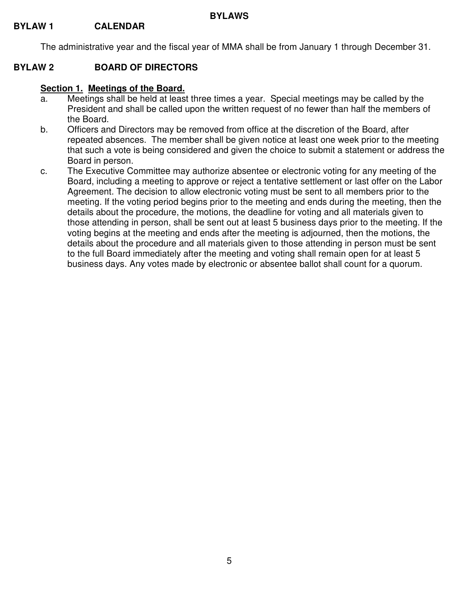The administrative year and the fiscal year of MMA shall be from January 1 through December 31.

#### **BYLAW 2 BOARD OF DIRECTORS**

#### **Section 1. Meetings of the Board.**

- a. Meetings shall be held at least three times a year. Special meetings may be called by the President and shall be called upon the written request of no fewer than half the members of the Board.
- b. Officers and Directors may be removed from office at the discretion of the Board, after repeated absences. The member shall be given notice at least one week prior to the meeting that such a vote is being considered and given the choice to submit a statement or address the Board in person.
- c. The Executive Committee may authorize absentee or electronic voting for any meeting of the Board, including a meeting to approve or reject a tentative settlement or last offer on the Labor Agreement. The decision to allow electronic voting must be sent to all members prior to the meeting. If the voting period begins prior to the meeting and ends during the meeting, then the details about the procedure, the motions, the deadline for voting and all materials given to those attending in person, shall be sent out at least 5 business days prior to the meeting. If the voting begins at the meeting and ends after the meeting is adjourned, then the motions, the details about the procedure and all materials given to those attending in person must be sent to the full Board immediately after the meeting and voting shall remain open for at least 5 business days. Any votes made by electronic or absentee ballot shall count for a quorum.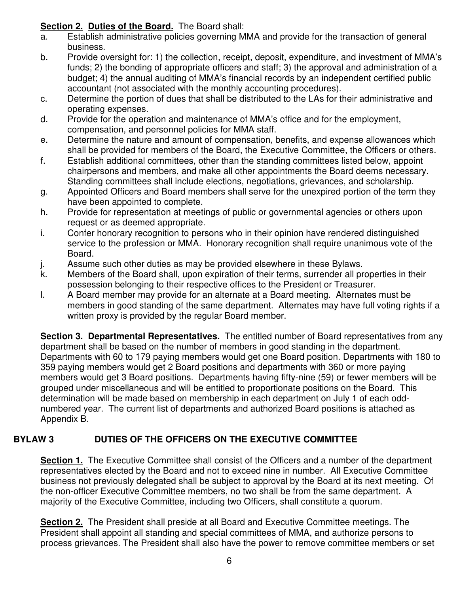# **Section 2. Duties of the Board.** The Board shall:

- a. Establish administrative policies governing MMA and provide for the transaction of general business.
- b. Provide oversight for: 1) the collection, receipt, deposit, expenditure, and investment of MMA's funds; 2) the bonding of appropriate officers and staff; 3) the approval and administration of a budget; 4) the annual auditing of MMA's financial records by an independent certified public accountant (not associated with the monthly accounting procedures).
- c. Determine the portion of dues that shall be distributed to the LAs for their administrative and operating expenses.
- d. Provide for the operation and maintenance of MMA's office and for the employment, compensation, and personnel policies for MMA staff.
- e. Determine the nature and amount of compensation, benefits, and expense allowances which shall be provided for members of the Board, the Executive Committee, the Officers or others.
- f. Establish additional committees, other than the standing committees listed below, appoint chairpersons and members, and make all other appointments the Board deems necessary. Standing committees shall include elections, negotiations, grievances, and scholarship.
- g. Appointed Officers and Board members shall serve for the unexpired portion of the term they have been appointed to complete.
- h. Provide for representation at meetings of public or governmental agencies or others upon request or as deemed appropriate.
- i. Confer honorary recognition to persons who in their opinion have rendered distinguished service to the profession or MMA. Honorary recognition shall require unanimous vote of the Board.
- j. Assume such other duties as may be provided elsewhere in these Bylaws.
- k. Members of the Board shall, upon expiration of their terms, surrender all properties in their possession belonging to their respective offices to the President or Treasurer.
- l. A Board member may provide for an alternate at a Board meeting. Alternates must be members in good standing of the same department. Alternates may have full voting rights if a written proxy is provided by the regular Board member.

**Section 3. Departmental Representatives.** The entitled number of Board representatives from any department shall be based on the number of members in good standing in the department. Departments with 60 to 179 paying members would get one Board position. Departments with 180 to 359 paying members would get 2 Board positions and departments with 360 or more paying members would get 3 Board positions. Departments having fifty-nine (59) or fewer members will be grouped under miscellaneous and will be entitled to proportionate positions on the Board. This determination will be made based on membership in each department on July 1 of each oddnumbered year. The current list of departments and authorized Board positions is attached as Appendix B.

# **BYLAW 3 DUTIES OF THE OFFICERS ON THE EXECUTIVE COMMITTEE**

**Section 1.** The Executive Committee shall consist of the Officers and a number of the department representatives elected by the Board and not to exceed nine in number. All Executive Committee business not previously delegated shall be subject to approval by the Board at its next meeting. Of the non-officer Executive Committee members, no two shall be from the same department. A majority of the Executive Committee, including two Officers, shall constitute a quorum.

**Section 2.** The President shall preside at all Board and Executive Committee meetings. The President shall appoint all standing and special committees of MMA, and authorize persons to process grievances. The President shall also have the power to remove committee members or set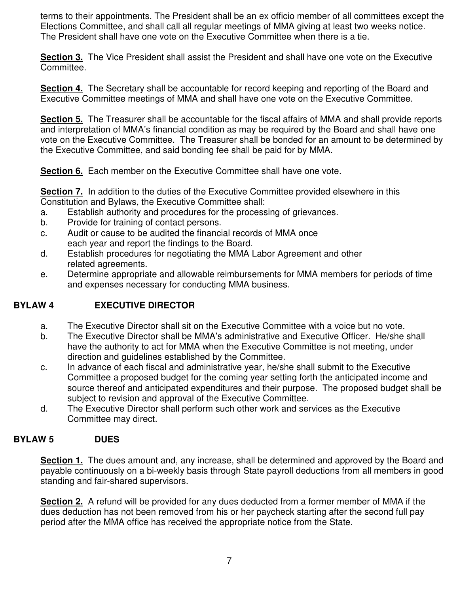terms to their appointments. The President shall be an ex officio member of all committees except the Elections Committee, and shall call all regular meetings of MMA giving at least two weeks notice. The President shall have one vote on the Executive Committee when there is a tie.

**Section 3.** The Vice President shall assist the President and shall have one vote on the Executive Committee.

**Section 4.** The Secretary shall be accountable for record keeping and reporting of the Board and Executive Committee meetings of MMA and shall have one vote on the Executive Committee.

**Section 5.** The Treasurer shall be accountable for the fiscal affairs of MMA and shall provide reports and interpretation of MMA's financial condition as may be required by the Board and shall have one vote on the Executive Committee. The Treasurer shall be bonded for an amount to be determined by the Executive Committee, and said bonding fee shall be paid for by MMA.

**Section 6.** Each member on the Executive Committee shall have one vote.

**Section 7.** In addition to the duties of the Executive Committee provided elsewhere in this Constitution and Bylaws, the Executive Committee shall:

- a. Establish authority and procedures for the processing of grievances.
- b. Provide for training of contact persons.
- c. Audit or cause to be audited the financial records of MMA once each year and report the findings to the Board.
- d. Establish procedures for negotiating the MMA Labor Agreement and other related agreements.
- e. Determine appropriate and allowable reimbursements for MMA members for periods of time and expenses necessary for conducting MMA business.

#### **BYLAW 4 EXECUTIVE DIRECTOR**

- a. The Executive Director shall sit on the Executive Committee with a voice but no vote.
- b. The Executive Director shall be MMA's administrative and Executive Officer. He/she shall have the authority to act for MMA when the Executive Committee is not meeting, under direction and guidelines established by the Committee.
- c. In advance of each fiscal and administrative year, he/she shall submit to the Executive Committee a proposed budget for the coming year setting forth the anticipated income and source thereof and anticipated expenditures and their purpose. The proposed budget shall be subject to revision and approval of the Executive Committee.
- d. The Executive Director shall perform such other work and services as the Executive Committee may direct.

#### **BYLAW 5 DUES**

**Section 1.** The dues amount and, any increase, shall be determined and approved by the Board and payable continuously on a bi-weekly basis through State payroll deductions from all members in good standing and fair-shared supervisors.

**Section 2.** A refund will be provided for any dues deducted from a former member of MMA if the dues deduction has not been removed from his or her paycheck starting after the second full pay period after the MMA office has received the appropriate notice from the State.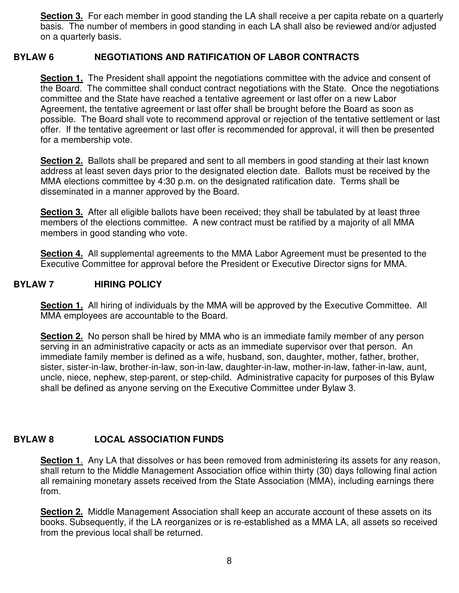**Section 3.** For each member in good standing the LA shall receive a per capita rebate on a quarterly basis. The number of members in good standing in each LA shall also be reviewed and/or adjusted on a quarterly basis.

#### **BYLAW 6 NEGOTIATIONS AND RATIFICATION OF LABOR CONTRACTS**

**Section 1.** The President shall appoint the negotiations committee with the advice and consent of the Board. The committee shall conduct contract negotiations with the State. Once the negotiations committee and the State have reached a tentative agreement or last offer on a new Labor Agreement, the tentative agreement or last offer shall be brought before the Board as soon as possible. The Board shall vote to recommend approval or rejection of the tentative settlement or last offer. If the tentative agreement or last offer is recommended for approval, it will then be presented for a membership vote.

**Section 2.** Ballots shall be prepared and sent to all members in good standing at their last known address at least seven days prior to the designated election date. Ballots must be received by the MMA elections committee by 4:30 p.m. on the designated ratification date. Terms shall be disseminated in a manner approved by the Board.

**Section 3.** After all eligible ballots have been received; they shall be tabulated by at least three members of the elections committee. A new contract must be ratified by a majority of all MMA members in good standing who vote.

**Section 4.** All supplemental agreements to the MMA Labor Agreement must be presented to the Executive Committee for approval before the President or Executive Director signs for MMA.

#### **BYLAW 7 HIRING POLICY**

**Section 1.** All hiring of individuals by the MMA will be approved by the Executive Committee. All MMA employees are accountable to the Board.

**Section 2.** No person shall be hired by MMA who is an immediate family member of any person serving in an administrative capacity or acts as an immediate supervisor over that person. An immediate family member is defined as a wife, husband, son, daughter, mother, father, brother, sister, sister-in-law, brother-in-law, son-in-law, daughter-in-law, mother-in-law, father-in-law, aunt, uncle, niece, nephew, step-parent, or step-child. Administrative capacity for purposes of this Bylaw shall be defined as anyone serving on the Executive Committee under Bylaw 3.

#### **BYLAW 8 LOCAL ASSOCIATION FUNDS**

**Section 1.** Any LA that dissolves or has been removed from administering its assets for any reason, shall return to the Middle Management Association office within thirty (30) days following final action all remaining monetary assets received from the State Association (MMA), including earnings there from.

**Section 2.** Middle Management Association shall keep an accurate account of these assets on its books. Subsequently, if the LA reorganizes or is re-established as a MMA LA, all assets so received from the previous local shall be returned.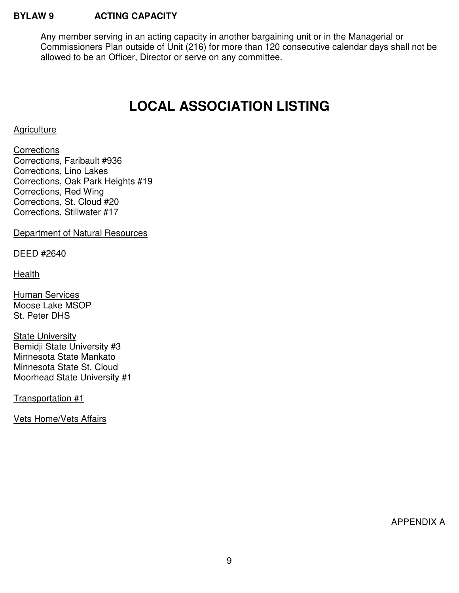#### **BYLAW 9 ACTING CAPACITY**

Any member serving in an acting capacity in another bargaining unit or in the Managerial or Commissioners Plan outside of Unit (216) for more than 120 consecutive calendar days shall not be allowed to be an Officer, Director or serve on any committee.

# **LOCAL ASSOCIATION LISTING**

#### **Agriculture**

**Corrections** Corrections, Faribault #936 Corrections, Lino Lakes Corrections, Oak Park Heights #19 Corrections, Red Wing Corrections, St. Cloud #20 Corrections, Stillwater #17

Department of Natural Resources

DEED #2640

**Health** 

Human Services Moose Lake MSOP St. Peter DHS

State University Bemidji State University #3 Minnesota State Mankato Minnesota State St. Cloud Moorhead State University #1

Transportation #1

Vets Home/Vets Affairs

APPENDIX A